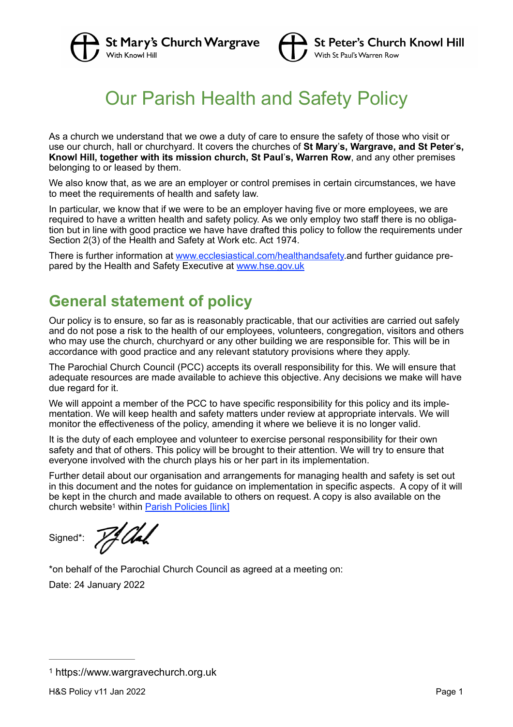



# Our Parish Health and Safety Policy

As a church we understand that we owe a duty of care to ensure the safety of those who visit or use our church, hall or churchyard. It covers the churches of **St Mary**'**s, Wargrave, and St Peter**'**s, Knowl Hill, together with its mission church, St Paul**'**s, Warren Row**, and any other premises belonging to or leased by them.

We also know that, as we are an employer or control premises in certain circumstances, we have to meet the requirements of health and safety law.

In particular, we know that if we were to be an employer having five or more employees, we are required to have a written health and safety policy. As we only employ two staff there is no obligation but in line with good practice we have have drafted this policy to follow the requirements under Section 2(3) of the Health and Safety at Work etc. Act 1974.

There is further information at www.ecclesiastical.com/healthandsafety.and further guidance prepared by the Health and Safety Executive at www.hse.gov.uk

# **General statement of policy**

Our policy is to ensure, so far as is reasonably practicable, that our activities are carried out safely and do not pose a risk to the health of our employees, volunteers, congregation, visitors and others who may use the church, churchyard or any other building we are responsible for. This will be in accordance with good practice and any relevant statutory provisions where they apply.

The Parochial Church Council (PCC) accepts its overall responsibility for this. We will ensure that adequate resources are made available to achieve this objective. Any decisions we make will have due regard for it.

We will appoint a member of the PCC to have specific responsibility for this policy and its implementation. We will keep health and safety matters under review at appropriate intervals. We will monitor the effectiveness of the policy, amending it where we believe it is no longer valid.

It is the duty of each employee and volunteer to exercise personal responsibility for their own safety and that of others. This policy will be brought to their attention. We will try to ensure that everyone involved with the church plays his or her part in its implementation.

Further detail about our organisation and arrangements for managing health and safety is set out in this document and the notes for guidance on implementation in specific aspects. A copy of it will be kept in the church and made available to others on request. A copy is also available on the church w[e](#page-0-0)bsite<sup>1</sup> within Parish Policies [link]

Signed\*:

<span id="page-0-1"></span>7f Ah

\*on behalf of the Parochial Church Council as agreed at a meeting on:

Date: 24 January 2022

<span id="page-0-0"></span>[<sup>1</sup>](#page-0-1) https://www.wargravechurch.org.uk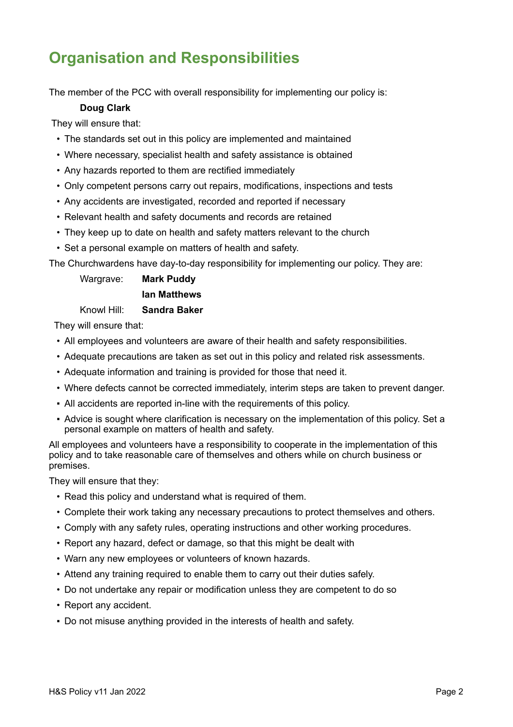# **Organisation and Responsibilities**

The member of the PCC with overall responsibility for implementing our policy is:

#### **Doug Clark**

They will ensure that:

- The standards set out in this policy are implemented and maintained
- Where necessary, specialist health and safety assistance is obtained
- Any hazards reported to them are rectified immediately
- Only competent persons carry out repairs, modifications, inspections and tests
- Any accidents are investigated, recorded and reported if necessary
- Relevant health and safety documents and records are retained
- They keep up to date on health and safety matters relevant to the church
- Set a personal example on matters of health and safety.

The Churchwardens have day-to-day responsibility for implementing our policy. They are:

Wargrave: **Mark Puddy**

#### **Ian Matthews**

#### Knowl Hill: **Sandra Baker**

They will ensure that:

- All employees and volunteers are aware of their health and safety responsibilities.
- Adequate precautions are taken as set out in this policy and related risk assessments.
- Adequate information and training is provided for those that need it.
- Where defects cannot be corrected immediately, interim steps are taken to prevent danger.
- All accidents are reported in-line with the requirements of this policy.
- Advice is sought where clarification is necessary on the implementation of this policy. Set a personal example on matters of health and safety.

All employees and volunteers have a responsibility to cooperate in the implementation of this policy and to take reasonable care of themselves and others while on church business or premises.

They will ensure that they:

- Read this policy and understand what is required of them.
- Complete their work taking any necessary precautions to protect themselves and others.
- Comply with any safety rules, operating instructions and other working procedures.
- Report any hazard, defect or damage, so that this might be dealt with
- Warn any new employees or volunteers of known hazards.
- Attend any training required to enable them to carry out their duties safely.
- Do not undertake any repair or modification unless they are competent to do so
- Report any accident.
- Do not misuse anything provided in the interests of health and safety.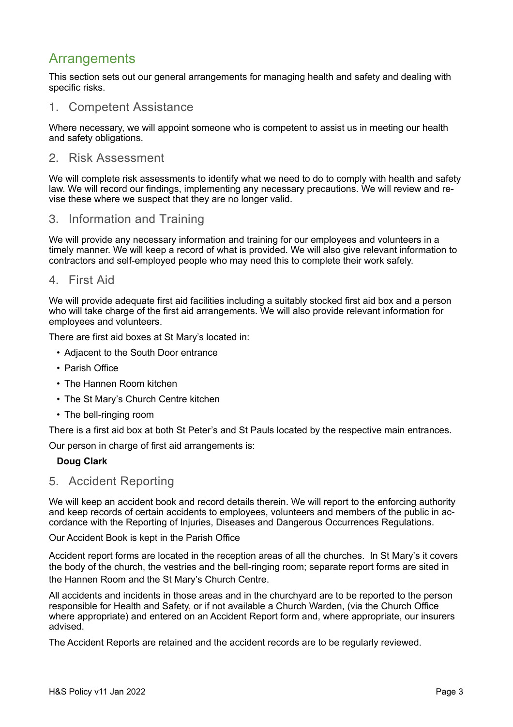## Arrangements

This section sets out our general arrangements for managing health and safety and dealing with specific risks.

## 1. Competent Assistance

Where necessary, we will appoint someone who is competent to assist us in meeting our health and safety obligations.

### 2 Risk Assessment

We will complete risk assessments to identify what we need to do to comply with health and safety law. We will record our findings, implementing any necessary precautions. We will review and revise these where we suspect that they are no longer valid.

## 3. Information and Training

We will provide any necessary information and training for our employees and volunteers in a timely manner. We will keep a record of what is provided. We will also give relevant information to contractors and self-employed people who may need this to complete their work safely.

### 4. First Aid

We will provide adequate first aid facilities including a suitably stocked first aid box and a person who will take charge of the first aid arrangements. We will also provide relevant information for employees and volunteers.

There are first aid boxes at St Mary's located in:

- Adjacent to the South Door entrance
- Parish Office
- The Hannen Room kitchen
- The St Mary's Church Centre kitchen
- The bell-ringing room

There is a first aid box at both St Peter's and St Pauls located by the respective main entrances.

Our person in charge of first aid arrangements is:

#### **Doug Clark**

### 5. Accident Reporting

We will keep an accident book and record details therein. We will report to the enforcing authority and keep records of certain accidents to employees, volunteers and members of the public in accordance with the Reporting of Injuries, Diseases and Dangerous Occurrences Regulations.

Our Accident Book is kept in the Parish Office

Accident report forms are located in the reception areas of all the churches. In St Mary's it covers the body of the church, the vestries and the bell-ringing room; separate report forms are sited in the Hannen Room and the St Mary's Church Centre.

All accidents and incidents in those areas and in the churchyard are to be reported to the person responsible for Health and Safety, or if not available a Church Warden, (via the Church Office where appropriate) and entered on an Accident Report form and, where appropriate, our insurers advised.

The Accident Reports are retained and the accident records are to be regularly reviewed.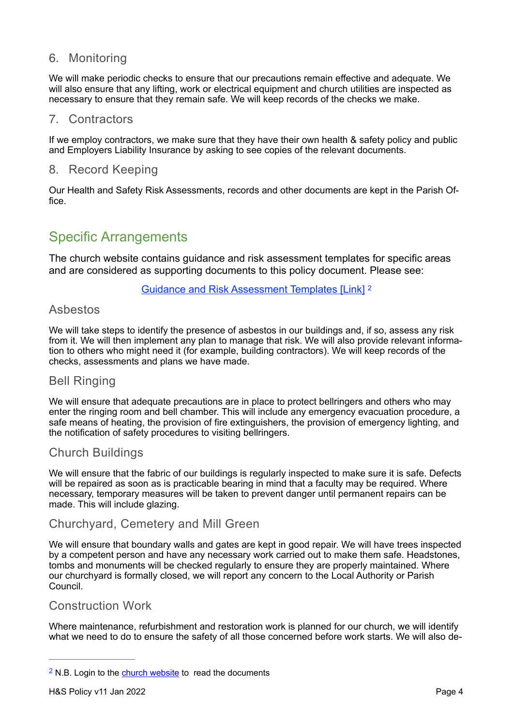## 6. Monitoring

We will make periodic checks to ensure that our precautions remain effective and adequate. We will also ensure that any lifting, work or electrical equipment and church utilities are inspected as necessary to ensure that they remain safe. We will keep records of the checks we make.

## 7. Contractors

If we employ contractors, we make sure that they have their own health & safety policy and public and Employers Liability Insurance by asking to see copies of the relevant documents.

## 8. Record Keeping

Our Health and Safety Risk Assessments, records and other documents are kept in the Parish Office.

## Specific Arrangements

The church website contains guidance and risk assessment templates for specific areas and are considered as supporting documents to this policy document. Please see:

<span id="page-3-1"></span>Guidance and Risk Assessment Templates [Link] [2](#page-3-0)

## Asbestos

We will take steps to identify the presence of asbestos in our buildings and, if so, assess any risk from it. We will then implement any plan to manage that risk. We will also provide relevant information to others who might need it (for example, building contractors). We will keep records of the checks, assessments and plans we have made.

## **Bell Ringing**

We will ensure that adequate precautions are in place to protect bellringers and others who may enter the ringing room and bell chamber. This will include any emergency evacuation procedure, a safe means of heating, the provision of fire extinguishers, the provision of emergency lighting, and the notification of safety procedures to visiting bellringers.

## **Church Buildings**

We will ensure that the fabric of our buildings is regularly inspected to make sure it is safe. Defects will be repaired as soon as is practicable bearing in mind that a faculty may be required. Where necessary, temporary measures will be taken to prevent danger until permanent repairs can be made. This will include glazing.

## Churchyard, Cemetery and Mill Green

We will ensure that boundary walls and gates are kept in good repair. We will have trees inspected by a competent person and have any necessary work carried out to make them safe. Headstones, tombs and monuments will be checked regularly to ensure they are properly maintained. Where our churchyard is formally closed, we will report any concern to the Local Authority or Parish Council.

## Construction Work

Where maintenance, refurbishment and restoration work is planned for our church, we will identify what we need to do to ensure the safety of all those concerned before work starts. We will also de-

<span id="page-3-0"></span> $2$  N.B. Login to the [church website](https://www.wargravechurch.org.uk) to read the documents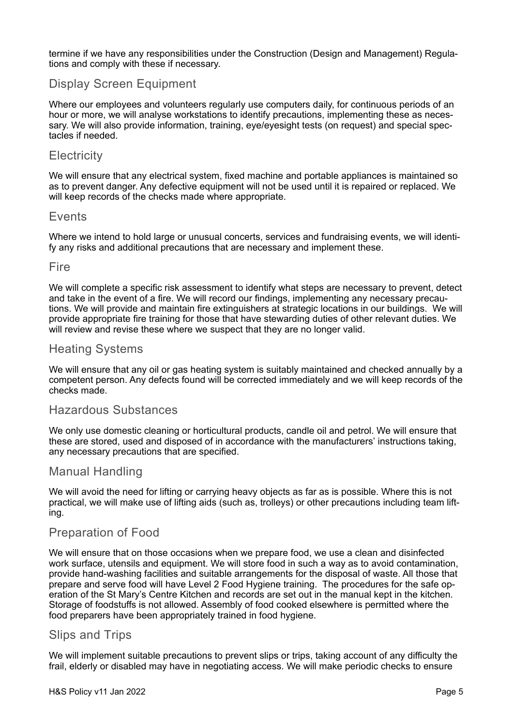termine if we have any responsibilities under the Construction (Design and Management) Regulations and comply with these if necessary.

## Display Screen Equipment

Where our employees and volunteers regularly use computers daily, for continuous periods of an hour or more, we will analyse workstations to identify precautions, implementing these as necessary. We will also provide information, training, eye/eyesight tests (on request) and special spectacles if needed.

## **Electricity**

We will ensure that any electrical system, fixed machine and portable appliances is maintained so as to prevent danger. Any defective equipment will not be used until it is repaired or replaced. We will keep records of the checks made where appropriate.

#### Fvents

Where we intend to hold large or unusual concerts, services and fundraising events, we will identify any risks and additional precautions that are necessary and implement these.

#### Fire

We will complete a specific risk assessment to identify what steps are necessary to prevent, detect and take in the event of a fire. We will record our findings, implementing any necessary precautions. We will provide and maintain fire extinguishers at strategic locations in our buildings. We will provide appropriate fire training for those that have stewarding duties of other relevant duties. We will review and revise these where we suspect that they are no longer valid.

## **Heating Systems**

We will ensure that any oil or gas heating system is suitably maintained and checked annually by a competent person. Any defects found will be corrected immediately and we will keep records of the checks made.

### Hazardous Substances

We only use domestic cleaning or horticultural products, candle oil and petrol. We will ensure that these are stored, used and disposed of in accordance with the manufacturers' instructions taking, any necessary precautions that are specified.

### **Manual Handling**

We will avoid the need for lifting or carrying heavy objects as far as is possible. Where this is not practical, we will make use of lifting aids (such as, trolleys) or other precautions including team lifting.

## Preparation of Food

We will ensure that on those occasions when we prepare food, we use a clean and disinfected work surface, utensils and equipment. We will store food in such a way as to avoid contamination, provide hand-washing facilities and suitable arrangements for the disposal of waste. All those that prepare and serve food will have Level 2 Food Hygiene training. The procedures for the safe operation of the St Mary's Centre Kitchen and records are set out in the manual kept in the kitchen. Storage of foodstuffs is not allowed. Assembly of food cooked elsewhere is permitted where the food preparers have been appropriately trained in food hygiene.

### Slips and Trips

We will implement suitable precautions to prevent slips or trips, taking account of any difficulty the frail, elderly or disabled may have in negotiating access. We will make periodic checks to ensure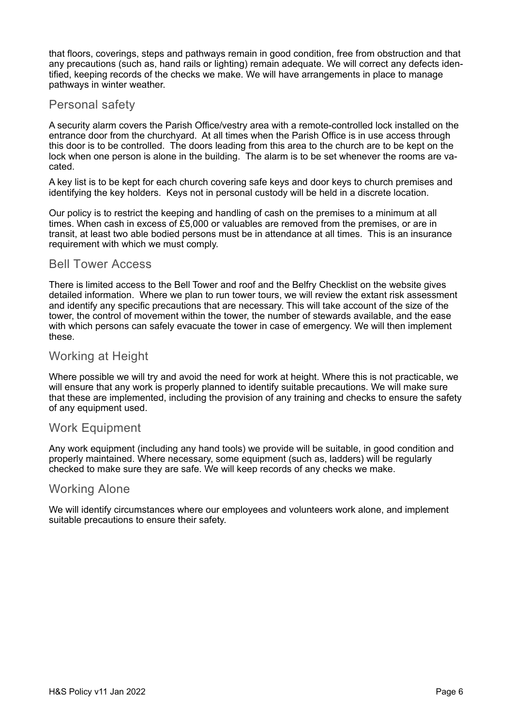that floors, coverings, steps and pathways remain in good condition, free from obstruction and that any precautions (such as, hand rails or lighting) remain adequate. We will correct any defects identified, keeping records of the checks we make. We will have arrangements in place to manage pathways in winter weather.

## Personal safety

A security alarm covers the Parish Office/vestry area with a remote-controlled lock installed on the entrance door from the churchyard. At all times when the Parish Office is in use access through this door is to be controlled. The doors leading from this area to the church are to be kept on the lock when one person is alone in the building. The alarm is to be set whenever the rooms are vacated.

A key list is to be kept for each church covering safe keys and door keys to church premises and identifying the key holders. Keys not in personal custody will be held in a discrete location.

Our policy is to restrict the keeping and handling of cash on the premises to a minimum at all times. When cash in excess of £5,000 or valuables are removed from the premises, or are in transit, at least two able bodied persons must be in attendance at all times. This is an insurance requirement with which we must comply.

#### **Bell Tower Access**

There is limited access to the Bell Tower and roof and the Belfry Checklist on the website gives detailed information. Where we plan to run tower tours, we will review the extant risk assessment and identify any specific precautions that are necessary. This will take account of the size of the tower, the control of movement within the tower, the number of stewards available, and the ease with which persons can safely evacuate the tower in case of emergency. We will then implement these.

## **Working at Height**

Where possible we will try and avoid the need for work at height. Where this is not practicable, we will ensure that any work is properly planned to identify suitable precautions. We will make sure that these are implemented, including the provision of any training and checks to ensure the safety of any equipment used.

### **Work Equipment**

Any work equipment (including any hand tools) we provide will be suitable, in good condition and properly maintained. Where necessary, some equipment (such as, ladders) will be regularly checked to make sure they are safe. We will keep records of any checks we make.

### **Working Alone**

We will identify circumstances where our employees and volunteers work alone, and implement suitable precautions to ensure their safety.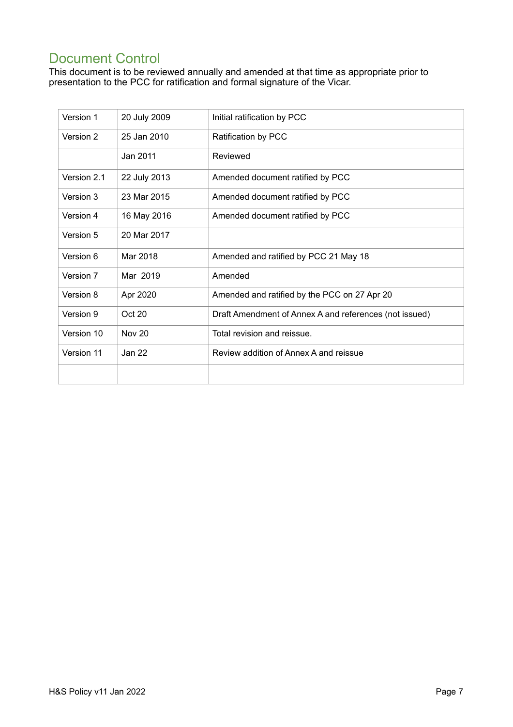# **Document Control**

This document is to be reviewed annually and amended at that time as appropriate prior to presentation to the PCC for ratification and formal signature of the Vicar.

| Version 1   | 20 July 2009  | Initial ratification by PCC                            |
|-------------|---------------|--------------------------------------------------------|
| Version 2   | 25 Jan 2010   | Ratification by PCC                                    |
|             | Jan 2011      | Reviewed                                               |
| Version 2.1 | 22 July 2013  | Amended document ratified by PCC                       |
| Version 3   | 23 Mar 2015   | Amended document ratified by PCC                       |
| Version 4   | 16 May 2016   | Amended document ratified by PCC                       |
| Version 5   | 20 Mar 2017   |                                                        |
| Version 6   | Mar 2018      | Amended and ratified by PCC 21 May 18                  |
| Version 7   | Mar 2019      | Amended                                                |
| Version 8   | Apr 2020      | Amended and ratified by the PCC on 27 Apr 20           |
| Version 9   | Oct 20        | Draft Amendment of Annex A and references (not issued) |
| Version 10  | <b>Nov 20</b> | Total revision and reissue.                            |
| Version 11  | Jan 22        | Review addition of Annex A and reissue                 |
|             |               |                                                        |